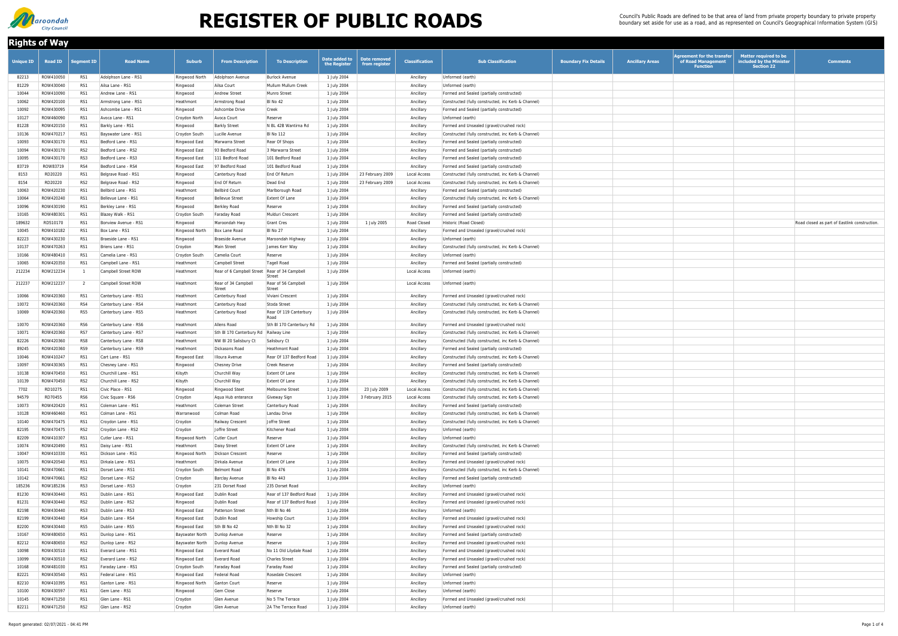| <b>Rights of Way</b> |                |                   |                       |                                  |                                                 |                                |                               |                               |                       |                                                     |                             |                        |                                                                     |                                                                               |                                               |
|----------------------|----------------|-------------------|-----------------------|----------------------------------|-------------------------------------------------|--------------------------------|-------------------------------|-------------------------------|-----------------------|-----------------------------------------------------|-----------------------------|------------------------|---------------------------------------------------------------------|-------------------------------------------------------------------------------|-----------------------------------------------|
| <b>Unique ID</b>     | <b>Road ID</b> | <b>Segment ID</b> | <b>Road Name</b>      | Suburb                           | <b>From Description</b>                         | <b>To Description</b>          | Date added to<br>the Register | Date removed<br>from register | <b>Classification</b> | <b>Sub Classification</b>                           | <b>Boundary Fix Details</b> | <b>Ancillary Areas</b> | Agreement for the transfer<br>of Road Management<br><b>Function</b> | <b>Matter required to be</b><br>included by the Minister<br><b>Section 22</b> | <b>Comments</b>                               |
| 82213                | ROW410050      | RS1               | Adolphson Lane - RS1  | Ringwood North                   | Adolphson Avenue                                | <b>Burlock Avenue</b>          | 1 July 2004                   |                               | Ancillary             | Unformed (earth)                                    |                             |                        |                                                                     |                                                                               |                                               |
| 81229                | ROW430040      | RS1               | Ailsa Lane - RS1      | Ringwood                         | Ailsa Court                                     | Mullum Mullum Creek            | 1 July 2004                   |                               | Ancillary             | Unformed (earth)                                    |                             |                        |                                                                     |                                                                               |                                               |
| 10044                | ROW410090      | RS1               | Andrew Lane - RS1     | Ringwood                         | <b>Andrew Street</b>                            | Munro Street                   | 1 July 2004                   |                               | Ancillary             | Formed and Sealed (partially constructed)           |                             |                        |                                                                     |                                                                               |                                               |
| 10062                | ROW420100      | RS1               | Armstrong Lane - RS1  | Heathmont                        | Armstrong Road                                  | BI No 42                       | 1 July 2004                   |                               | Ancillary             | Constructed (fully constructed, inc Kerb & Channel) |                             |                        |                                                                     |                                                                               |                                               |
| 10092                | ROW430095      | RS1               | Ashcombe Lane - RS1   | Ringwood                         | Ashcombe Drive                                  | Creek                          | 1 July 2004                   |                               | Ancillary             | Formed and Sealed (partially constructed)           |                             |                        |                                                                     |                                                                               |                                               |
| 10127                | ROW460090      | RS1               | Avoca Lane - RS1      | Croydon North                    | Avoca Court                                     | Reserve                        | 1 July 2004                   |                               | Ancillary             | Unformed (earth)                                    |                             |                        |                                                                     |                                                                               |                                               |
| 81228                | ROW420150      | RS1               | Barkly Lane - RS1     | Ringwood                         | <b>Barkly Street</b>                            | N BL 42B Wantirna Rd           | 1 July 2004                   |                               | Ancillary             | Formed and Unsealed (gravel/crushed rock)           |                             |                        |                                                                     |                                                                               |                                               |
| 10136                | ROW47021       | RS1               | Bayswater Lane - RS1  | Croydon South                    | Lucille Avenue                                  | <b>BI</b> No 112               | 1 July 2004                   |                               | Ancillary             | Constructed (fully constructed, inc Kerb & Channel) |                             |                        |                                                                     |                                                                               |                                               |
| 10093                | ROW430170      | RS1               | Bedford Lane - RS1    | Ringwood East                    | Marwarra Street                                 | Rear Of Shops                  | 1 July 2004                   |                               | Ancillary             | Formed and Sealed (partially constructed)           |                             |                        |                                                                     |                                                                               |                                               |
| 10094                | ROW430170      | RS <sub>2</sub>   | Bedford Lane - RS2    | Ringwood East                    | 93 Bedford Road                                 | 3 Marwarra Street              | 1 July 2004                   |                               | Ancillary             | Formed and Sealed (partially constructed)           |                             |                        |                                                                     |                                                                               |                                               |
| 10095                | ROW430170      | RS3               | Bedford Lane - RS3    | Ringwood East                    | 111 Bedford Road                                | 101 Bedford Road               | 1 July 2004                   |                               | Ancillary             | Formed and Sealed (partially constructed)           |                             |                        |                                                                     |                                                                               |                                               |
| 83719                | ROW83719       | RS4               | Bedford Lane - RS4    | Ringwood East                    | 97 Bedford Road                                 | 101 Bedford Road               | 1 July 2004                   |                               | Ancillary             | Formed and Sealed (partially constructed)           |                             |                        |                                                                     |                                                                               |                                               |
| 8153                 | RD20220        | RS1               | Belgrave Road - RS1   | Ringwood                         | Canterbury Road                                 | End Of Return                  | 1 July 2004                   | 23 February 2009              | <b>Local Access</b>   | Constructed (fully constructed, inc Kerb & Channel) |                             |                        |                                                                     |                                                                               |                                               |
| 8154                 | RD20220        | RS <sub>2</sub>   | Belgrave Road - RS2   | Ringwood                         | End Of Return                                   | Dead End                       | 1 July 2004                   | 23 February 2009              | <b>Local Access</b>   | Constructed (fully constructed, inc Kerb & Channel) |                             |                        |                                                                     |                                                                               |                                               |
| 10063                | ROW420230      | RS1               | Bellbird Lane - RS1   | Heathmont                        | <b>Bellbird Court</b>                           | Marlborough Road               | 1 July 2004                   |                               | Ancillary             | Formed and Sealed (partially constructed)           |                             |                        |                                                                     |                                                                               |                                               |
| 10064                | ROW420240      | RS1               | Bellevue Lane - RS1   | Ringwood                         | <b>Bellevue Street</b>                          | <b>Extent Of Lane</b>          | 1 July 2004                   |                               | Ancillary             | Constructed (fully constructed, inc Kerb & Channel) |                             |                        |                                                                     |                                                                               |                                               |
| 10096                | ROW430190      | RS1               | Berkley Lane - RS1    | Ringwood                         | Berkley Road                                    | Reserve                        | 1 July 2004                   |                               | Ancillary             | Formed and Sealed (partially constructed)           |                             |                        |                                                                     |                                                                               |                                               |
| 10165                | ROW48030       | RS1               | Blazey Walk - RS1     | Croydon South                    | Faraday Road                                    | Mulduri Crescent               | 1 July 2004                   |                               | Ancillary             | Formed and Sealed (partially constructed)           |                             |                        |                                                                     |                                                                               |                                               |
| 189632               | RD510170       | RS1               | Bonview Avenue - RS1  | Ringwood                         | Maroondah Hwy                                   | Grant Cres                     | 1 July 2004                   | 1 July 2005                   | Road Closed           | Historic (Road Closed)                              |                             |                        |                                                                     |                                                                               | Road closed as part of Eastlink construction. |
| 10045                | ROW410182      | RS1               | Box Lane - RS1        | Ringwood North                   | Box Lane Road                                   | BI No 27                       | 1 July 2004                   |                               | Ancillary             | Formed and Unsealed (gravel/crushed rock)           |                             |                        |                                                                     |                                                                               |                                               |
| 82223                | ROW430230      | RS1               | Braeside Lane - RS1   | Ringwood                         | Braeside Avenue                                 | Maroondah Highway              | 1 July 2004                   |                               | Ancillary             | Unformed (earth)                                    |                             |                        |                                                                     |                                                                               |                                               |
| 10137                | ROW470263      | RS1               | Briens Lane - RS1     | Croydon                          | Main Street                                     | James Kerr Way                 | 1 July 2004                   |                               | Ancillary             | Constructed (fully constructed, inc Kerb & Channel) |                             |                        |                                                                     |                                                                               |                                               |
| 10166                | ROW480410      | RS1               | Camelia Lane - RS1    | Croydon South                    | Camelia Court                                   | Reserve                        | 1 July 2004                   |                               | Ancillary             | Unformed (earth)                                    |                             |                        |                                                                     |                                                                               |                                               |
| 10065                | ROW420350      | RS1               | Campbell Lane - RS1   | Heathmont                        | <b>Campbell Street</b>                          | Tagell Road                    | 1 July 2004                   |                               | Ancillary             | Formed and Sealed (partially constructed)           |                             |                        |                                                                     |                                                                               |                                               |
| 212234               | ROW212234      |                   | Campbell Street ROW   | Heathmont                        | Rear of 6 Campbell Street   Rear of 34 Campbell |                                | 1 July 2004                   |                               | Local Access          | Unformed (earth)                                    |                             |                        |                                                                     |                                                                               |                                               |
| 212237               | ROW212237      |                   | Campbell Street ROW   | Heathmont                        | Rear of 34 Campbell                             | Street<br>Rear of 56 Campbell  | 1 July 2004                   |                               | Local Access          | Unformed (earth)                                    |                             |                        |                                                                     |                                                                               |                                               |
|                      |                |                   |                       |                                  | <b>Street</b>                                   | Street                         |                               |                               |                       |                                                     |                             |                        |                                                                     |                                                                               |                                               |
| 10066                | ROW420360      | RS1               | Canterbury Lane - RS1 | Heathmont                        | Canterbury Road                                 | Viviani Crescent               | 1 July 2004                   |                               | Ancillary             | Formed and Unsealed (gravel/crushed rock)           |                             |                        |                                                                     |                                                                               |                                               |
| 10072                | ROW420360      | RS4               | Canterbury Lane - RS4 | Heathmont                        | Canterbury Road                                 | Stoda Street                   | 1 July 2004                   |                               | Ancillary             | Constructed (fully constructed, inc Kerb & Channel) |                             |                        |                                                                     |                                                                               |                                               |
| 10069                | ROW420360      | RS5               | Canterbury Lane - RS5 | Heathmont                        | Canterbury Road                                 | Rear Of 119 Canterbury<br>Road | 1 July 2004                   |                               | Ancillary             | Constructed (fully constructed, inc Kerb & Channel) |                             |                        |                                                                     |                                                                               |                                               |
| 10070                | ROW420360      | RS6               | Canterbury Lane - RS6 | Heathmont                        | Allens Road                                     | Sth BI 170 Canterbury Rd       | 1 July 2004                   |                               | Ancillary             | Formed and Unsealed (gravel/crushed rock)           |                             |                        |                                                                     |                                                                               |                                               |
| 10071                | ROW420360      | RS7               | Canterbury Lane - RS7 | Heathmont                        | Sth BI 170 Canterbury Rd Railway Line           |                                | 1 July 2004                   |                               | Ancillary             | Constructed (fully constructed, inc Kerb & Channel) |                             |                        |                                                                     |                                                                               |                                               |
| 82226                | ROW420360      | RS8               | Canterbury Lane - RS8 | Heathmont                        | NW BI 20 Salisbury Ct                           | Salisbury Ct                   | 1 July 2004                   |                               | Ancillary             | Constructed (fully constructed, inc Kerb & Channel) |                             |                        |                                                                     |                                                                               |                                               |
| 89245                | ROW420360      | RS9               | Canterbury Lane - RS9 | Heathmont                        | Dickasons Road                                  | Heathmont Road                 | 1 July 2004                   |                               | Ancillary             | Formed and Sealed (partially constructed)           |                             |                        |                                                                     |                                                                               |                                               |
| 10046                | ROW410247      | RS1               | Cart Lane - RS1       | Ringwood East                    | Illoura Avenue                                  | Rear Of 137 Bedford Road       | 1 July 2004                   |                               | Ancillary             | Constructed (fully constructed, inc Kerb & Channel) |                             |                        |                                                                     |                                                                               |                                               |
| 10097                | ROW430365      | RS1               | Chesney Lane - RS1    | Ringwood                         | <b>Chesney Drive</b>                            | <b>Creek Reserve</b>           | 1 July 2004                   |                               | Ancillary             | Formed and Sealed (partially constructed)           |                             |                        |                                                                     |                                                                               |                                               |
| 10138                | ROW470450      | RS1               | Churchill Lane - RS1  | Kilsyth                          | Churchill Way                                   | <b>Extent Of Lane</b>          | 1 July 2004                   |                               | Ancillary             | Constructed (fully constructed, inc Kerb & Channel) |                             |                        |                                                                     |                                                                               |                                               |
| 10139                | ROW470450      | RS2               | Churchill Lane - RS2  | Kilsyth                          | Churchill Way                                   | <b>Extent Of Lane</b>          | 1 July 2004                   |                               | Ancillary             | Constructed (fully constructed, inc Kerb & Channel) |                             |                        |                                                                     |                                                                               |                                               |
| 7702                 | RD10275        | RS1               | Civic Place - RS1     | Ringwood                         | <b>Ringwood Steet</b>                           | Melbourne Street               | 1 July 2004                   | 23 July 2009                  | Local Access          | Constructed (fully constructed, inc Kerb & Channel) |                             |                        |                                                                     |                                                                               |                                               |
| 94579                | RD70455        | RS6               | Civic Square - RS6    | Croydon                          | Aqua Hub enterance                              | Giveway Sign                   | 1 July 2004                   | 3 February 2015               | Local Access          | Constructed (fully constructed, inc Kerb & Channel) |                             |                        |                                                                     |                                                                               |                                               |
| 10073                | ROW420420      | RS1               | Coleman Lane - RS1    | Heathmont                        | Coleman Street                                  | Canterbury Road                | 1 July 2004                   |                               | Ancillary             | Formed and Sealed (partially constructed)           |                             |                        |                                                                     |                                                                               |                                               |
| 10128                | ROW460460      | RS1               | Colman Lane - RS1     | Warranwood                       | Colman Road                                     | Landau Drive                   | 1 July 2004                   |                               | Ancillary             | Constructed (fully constructed, inc Kerb & Channel) |                             |                        |                                                                     |                                                                               |                                               |
| 10140                | ROW470475      | RS1               | Croydon Lane - RS1    | Croydon                          | Railway Crescent                                | Joffre Street                  | 1 July 2004                   |                               | Ancillary             | Constructed (fully constructed, inc Kerb & Channel) |                             |                        |                                                                     |                                                                               |                                               |
| 82195                | ROW470475      | RS2               | Croydon Lane - RS2    | Croydon                          | Joffre Street                                   | Kitchener Road                 | 1 July 2004                   |                               | Ancillary             | Unformed (earth)                                    |                             |                        |                                                                     |                                                                               |                                               |
| 82209                | ROW410307      | RS1               | Cutler Lane - RS1     | Ringwood North                   | Cutler Court                                    | Reserve                        | 1 July 2004                   |                               | Ancillary             | Unformed (earth)                                    |                             |                        |                                                                     |                                                                               |                                               |
| 10074                | ROW420490      | RS1               | Daisy Lane - RS1      | Heathmont                        | Daisy Street                                    | <b>Extent Of Lane</b>          | 1 July 2004                   |                               | Ancillary             | Constructed (fully constructed, inc Kerb & Channel) |                             |                        |                                                                     |                                                                               |                                               |
| 10047                | ROW410330      | RS1               | Dickson Lane - RS1    | Ringwood North                   | Dickson Crescent                                | Reserve                        | 1 July 2004                   |                               | Ancillary             | Formed and Sealed (partially constructed)           |                             |                        |                                                                     |                                                                               |                                               |
| 10075                | ROW420540      | RS1               | Dirkala Lane - RS1    | Heathmont                        | Dirkala Avenue                                  | <b>Extent Of Lane</b>          | 1 July 2004                   |                               | Ancillary             | Formed and Unsealed (gravel/crushed rock)           |                             |                        |                                                                     |                                                                               |                                               |
| 10141                | ROW470661      | RS1               | Dorset Lane - RS1     | Croydon South                    | Belmont Road                                    | <b>BI</b> No 476               | 1 July 2004                   |                               | Ancillary             | Constructed (fully constructed, inc Kerb & Channel) |                             |                        |                                                                     |                                                                               |                                               |
| 10142                | ROW470661      | RS2               | Dorset Lane - RS2     | Croydon                          | <b>Barclay Avenue</b>                           | <b>BI</b> No 443               | 1 July 2004                   |                               | Ancillary             | Formed and Sealed (partially constructed)           |                             |                        |                                                                     |                                                                               |                                               |
| 185236               | ROW185236      | RS3               | Dorset Lane - RS3     | Croydon                          | 231 Dorset Road                                 | 235 Dorset Road                |                               |                               | Ancillary             | Unformed (earth)                                    |                             |                        |                                                                     |                                                                               |                                               |
| 81230                | ROW430440      | RS1               | Dublin Lane - RS1     | Ringwood East                    | Dublin Road                                     | Rear of 137 Bedford Road       | 1 July 2004                   |                               | Ancillary             | Formed and Unsealed (gravel/crushed rock)           |                             |                        |                                                                     |                                                                               |                                               |
| 81231                | ROW430440      | RS2               | Dublin Lane - RS2     | Ringwood                         | Dublin Road                                     | Rear of 137 Bedford Road       | 1 July 2004                   |                               | Ancillary             | Formed and Unsealed (gravel/crushed rock)           |                             |                        |                                                                     |                                                                               |                                               |
| 82198                | ROW430440      | RS3               | Dublin Lane - RS3     | Ringwood East                    | <b>Patterson Street</b>                         | Nth BI No 46                   | 1 July 2004                   |                               | Ancillary             | Unformed (earth)                                    |                             |                        |                                                                     |                                                                               |                                               |
| 82199                | ROW430440      | RS4               | Dublin Lane - RS4     | Ringwood East                    | Dublin Road                                     | Howship Court                  | 1 July 2004                   |                               | Ancillary             | Formed and Unsealed (gravel/crushed rock)           |                             |                        |                                                                     |                                                                               |                                               |
| 82200                | ROW430440      | RS5               | Dublin Lane - RS5     | Ringwood East                    | Sth BI No 42                                    | Nth BI No 32                   | 1 July 2004                   |                               | Ancillary             | Formed and Unsealed (gravel/crushed rock)           |                             |                        |                                                                     |                                                                               |                                               |
| 10167                | ROW480650      | RS1               | Dunlop Lane - RS1     | Bayswater North    Dunlop Avenue |                                                 | Reserve                        | 1 July 2004                   |                               | Ancillary             | Formed and Sealed (partially constructed)           |                             |                        |                                                                     |                                                                               |                                               |
| 82212                | ROW480650      | RS2               | Dunlop Lane - RS2     | Bayswater North Dunlop Avenue    |                                                 | Reserve                        | 1 July 2004                   |                               | Ancillary             | Formed and Unsealed (gravel/crushed rock)           |                             |                        |                                                                     |                                                                               |                                               |
| 10098                | ROW430510      | RS1               | Everard Lane - RS1    | Ringwood East                    | Everard Road                                    | No 11 Old Lilydale Road        | 1 July 2004                   |                               | Ancillary             | Formed and Unsealed (gravel/crushed rock)           |                             |                        |                                                                     |                                                                               |                                               |
| 10099                | ROW430510      | RS <sub>2</sub>   | Everard Lane - RS2    | Ringwood East                    | Everard Road                                    | Charles Street                 | 1 July 2004                   |                               | Ancillary             | Formed and Unsealed (gravel/crushed rock)           |                             |                        |                                                                     |                                                                               |                                               |
| 10168                | ROW481030      | RS1               | Faraday Lane - RS1    | Croydon South                    | Faraday Road                                    | Faraday Road                   | 1 July 2004                   |                               | Ancillary             | Formed and Sealed (partially constructed)           |                             |                        |                                                                     |                                                                               |                                               |
| 82221                | ROW430540      | RS1               | Federal Lane - RS1    | Ringwood East                    | Federal Road                                    | Rosedale Crescent              | 1 July 2004                   |                               | Ancillary             | Unformed (earth)                                    |                             |                        |                                                                     |                                                                               |                                               |
| 82210                | ROW410395      | RS1               | Ganton Lane - RS1     | Ringwood North                   | Ganton Court                                    | Reserve                        | 1 July 2004                   |                               | Ancillary             | Unformed (earth)                                    |                             |                        |                                                                     |                                                                               |                                               |
| 10100                | ROW430597      | RS1               | Gem Lane - RS1        | Ringwood                         | Gem Close                                       | Reserve                        | 1 July 2004                   |                               | Ancillary             | Unformed (earth)                                    |                             |                        |                                                                     |                                                                               |                                               |
| 10145                | ROW471250      | RS1               | Glen Lane - RS1       | Croydon                          | Glen Avenue                                     | No 5 The Terrace               | 1 July 2004                   |                               | Ancillary             | Formed and Unsealed (gravel/crushed rock)           |                             |                        |                                                                     |                                                                               |                                               |
| 82211                | ROW471250      | RS2               | Glen Lane - RS2       | Croydon                          | Glen Avenue                                     | 2A The Terrace Road            | 1 July 2004                   |                               | Ancillary             | Unformed (earth)                                    |                             |                        |                                                                     |                                                                               |                                               |



## **REGISTER OF PUBLIC ROADS**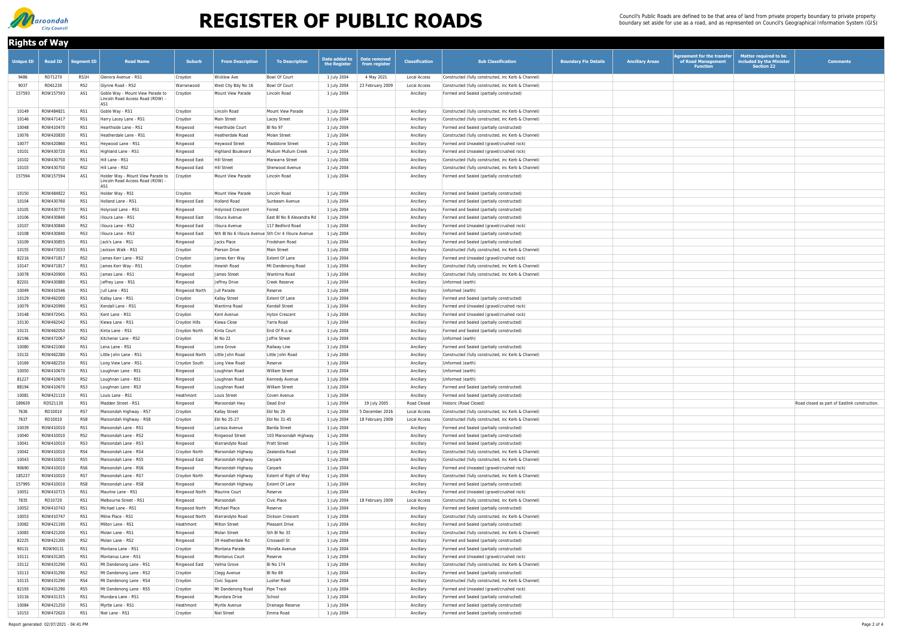| <b>Rights of Way</b> |                        |                   |                                                                                        |                            |                               |                                                     |                               |                               |                                  |                                                                                                            |                             |                        |                                                                            |                                                                               |                                              |
|----------------------|------------------------|-------------------|----------------------------------------------------------------------------------------|----------------------------|-------------------------------|-----------------------------------------------------|-------------------------------|-------------------------------|----------------------------------|------------------------------------------------------------------------------------------------------------|-----------------------------|------------------------|----------------------------------------------------------------------------|-------------------------------------------------------------------------------|----------------------------------------------|
| <b>Unique ID</b>     | <b>Road ID</b>         | <b>Segment ID</b> | <b>Road Name</b>                                                                       | <b>Suburb</b>              | <b>From Description</b>       | <b>To Description</b>                               | Date added to<br>the Register | Date removed<br>from register | <b>Classification</b>            | <b>Sub Classification</b>                                                                                  | <b>Boundary Fix Details</b> | <b>Ancillary Areas</b> | <b>Agreement for the transfer</b><br>of Road Management<br><b>Function</b> | <b>Matter required to be</b><br>included by the Minister<br><b>Section 22</b> | <b>Comments</b>                              |
| 9486                 | RD71270                | RS1H              | Glenora Avenue - RS1                                                                   | Croydon                    | <b>Wicklow Ave</b>            | Bowl Of Court                                       | 1 July 2004                   | 4 May 2021                    | <b>Local Access</b>              | Constructed (fully constructed, inc Kerb & Channel)                                                        |                             |                        |                                                                            |                                                                               |                                              |
| 9037                 | RD61230                | RS <sub>2</sub>   | Glynne Road - RS2                                                                      | Warranwood                 | West City Bdy No 16           | Bowl Of Court                                       | 1 July 2004                   | 23 February 2009              | <b>Local Access</b>              | Constructed (fully constructed, inc Kerb & Channel)                                                        |                             |                        |                                                                            |                                                                               |                                              |
| 157593               | ROW157593              | AS1               | Goble Way - Mount View Parade to<br>Lincoln Road Access Road (ROW)<br>AS1              | Croydon                    | Mount View Parade             | Lincoln Road                                        | 1 July 2004                   |                               | Ancillary                        | Formed and Sealed (partially constructed)                                                                  |                             |                        |                                                                            |                                                                               |                                              |
| 10149                | ROW484821              | RS1               | Goble Way - RS1                                                                        | Croydon                    | Lincoln Road                  | Mount View Parade                                   | 1 July 2004                   |                               | Ancillary                        | Constructed (fully constructed, inc Kerb & Channel)                                                        |                             |                        |                                                                            |                                                                               |                                              |
| 10146                | ROW471417              | RS1               | Harry Lacey Lane - RS1                                                                 | Croydon                    | Main Street                   | Lacey Street                                        | 1 July 2004                   |                               | Ancillary                        | Constructed (fully constructed, inc Kerb & Channel)                                                        |                             |                        |                                                                            |                                                                               |                                              |
| 10048                | ROW410470              | RS1               | Hearthside Lane - RS1                                                                  | Ringwood                   | Hearthside Court              | <b>BI</b> No 97                                     | 1 July 2004                   |                               | Ancillary                        | Formed and Sealed (partially constructed)                                                                  |                             |                        |                                                                            |                                                                               |                                              |
| 10076                | ROW420830              | RS1               | Heatherdale Lane - RS1                                                                 | Ringwood                   | Heatherdale Road              | Molan Street                                        | 1 July 2004                   |                               | Ancillary                        | Constructed (fully constructed, inc Kerb & Channel)                                                        |                             |                        |                                                                            |                                                                               |                                              |
| 10077                | ROW420860              | RS1               | Heywood Lane - RS1                                                                     | Ringwood                   | Heywood Street                | Maidstone Street                                    | 1 July 2004                   |                               | Ancillary                        | Formed and Unsealed (gravel/crushed rock)                                                                  |                             |                        |                                                                            |                                                                               |                                              |
| 10101                | ROW430720              | RS1               | Highland Lane - RS1                                                                    | Ringwood                   | <b>Highland Boulevard</b>     | Mullum Mullum Creek                                 | 1 July 2004                   |                               | Ancillary                        | Formed and Unsealed (gravel/crushed rock)                                                                  |                             |                        |                                                                            |                                                                               |                                              |
| 10102                | ROW430750              | RS1               | Hill Lane - RS1                                                                        | Ringwood East              | Hill Street                   | Marwarra Street                                     | 1 July 2004                   |                               | Ancillary                        | Constructed (fully constructed, inc Kerb & Channel)                                                        |                             |                        |                                                                            |                                                                               |                                              |
| 10103                | ROW430750              | RS2               | Hill Lane - RS2                                                                        | Ringwood East              | Hill Street                   | Sherwood Avenue                                     | 1 July 2004                   |                               | Ancillary                        | Constructed (fully constructed, inc Kerb & Channel)                                                        |                             |                        |                                                                            |                                                                               |                                              |
| 157594               | ROW157594              | AS1               | Holder Way - Mount View Parade to<br>Lincoln Road Access Road (ROW)<br>AS <sup>-</sup> | Croydon                    | Mount View Parade             | Lincoln Road                                        | 1 July 2004                   |                               | Ancillary                        | Formed and Sealed (partially constructed)                                                                  |                             |                        |                                                                            |                                                                               |                                              |
| 10150                | ROW484822              | RS1               | Holder Way - RS1                                                                       | Croydon                    | Mount View Parade             | Lincoln Road                                        | 1 July 2004                   |                               | Ancillary                        | Formed and Sealed (partially constructed)                                                                  |                             |                        |                                                                            |                                                                               |                                              |
| 10104                | ROW430760              | RS1               | Holland Lane - RS1                                                                     | Ringwood East              | Holland Road                  | Sunbeam Avenue                                      | 1 July 2004                   |                               | Ancillary                        | Formed and Sealed (partially constructed)                                                                  |                             |                        |                                                                            |                                                                               |                                              |
| 10105                | ROW430770              | RS1               | Holyrood Lane - RS1                                                                    | Ringwood                   | Holyrood Crescent             | Forest                                              | 1 July 2004                   |                               | Ancillary                        | Formed and Sealed (partially constructed)                                                                  |                             |                        |                                                                            |                                                                               |                                              |
| 10106                | ROW430840              | RS1               | Illoura Lane - RS1                                                                     | Ringwood East              | Illoura Avenue                | East BI No 8 Alexandra Rd                           | 1 July 2004                   |                               | Ancillary                        | Formed and Sealed (partially constructed)                                                                  |                             |                        |                                                                            |                                                                               |                                              |
| 10107                | ROW430840              | RS <sub>2</sub>   | Illoura Lane - RS2                                                                     | Ringwood East              | Illoura Avenue                | 117 Bedford Road                                    | 1 July 2004                   |                               | Ancillary                        | Formed and Unsealed (gravel/crushed rock)                                                                  |                             |                        |                                                                            |                                                                               |                                              |
| 10108                | ROW430840              | RS3               | Illoura Lane - RS3                                                                     | Ringwood East              |                               | Nth BI No 6 Illoura Avenue Sth Cnr 4 Illoura Avenue | 1 July 2004                   |                               | Ancillary                        | Formed and Sealed (partially constructed)                                                                  |                             |                        |                                                                            |                                                                               |                                              |
| 10109                | ROW430855              | RS1               | Jack's Lane - RS1                                                                      | Ringwood                   | Jacks Place                   | Frodsham Road                                       | 1 July 2004                   |                               | Ancillary                        | Formed and Sealed (partially constructed)                                                                  |                             |                        |                                                                            |                                                                               |                                              |
| 10155                | ROW473033              | RS1               | Jackson Walk - RS1                                                                     | Croydon                    | Pierson Drive                 | Main Street                                         | 1 July 2004                   |                               | Ancillary                        | Constructed (fully constructed, inc Kerb & Channel)                                                        |                             |                        |                                                                            |                                                                               |                                              |
| 82216                | ROW471817              | RS <sub>2</sub>   | James Kerr Lane - RS2                                                                  | Croydon                    | James Kerr Way                | Extent Of Lane                                      | 1 July 2004                   |                               | Ancillary                        | Formed and Unsealed (gravel/crushed rock)                                                                  |                             |                        |                                                                            |                                                                               |                                              |
| 10147<br>10078       | ROW471817<br>ROW420900 | RS1<br>RS1        | James Kerr Way - RS1<br>James Lane - RS1                                               | Croydon                    | Hewish Road<br>James Street   | Mt Dandenong Road<br>Wantirna Road                  | 1 July 2004                   |                               | Ancillary<br>Ancillary           | Constructed (fully constructed, inc Kerb & Channel)<br>Constructed (fully constructed, inc Kerb & Channel) |                             |                        |                                                                            |                                                                               |                                              |
| 82201                | ROW430880              | RS1               | Jeffrey Lane - RS1                                                                     | Ringwood<br>Ringwood       | Jeffrey Drive                 | <b>Creek Reserve</b>                                | 1 July 2004<br>1 July 2004    |                               | Ancillary                        | Unformed (earth)                                                                                           |                             |                        |                                                                            |                                                                               |                                              |
| 10049                | ROW410546              | RS1               | Jull Lane - RS1                                                                        | Ringwood North             | Jull Parade                   | Reserve                                             | 1 July 2004                   |                               | Ancillary                        | Unformed (earth)                                                                                           |                             |                        |                                                                            |                                                                               |                                              |
| 10129                | ROW462000              | RS1               | Kallay Lane - RS1                                                                      | Croydon                    | Kallay Street                 | <b>Extent Of Lane</b>                               | 1 July 2004                   |                               | Ancillary                        | Formed and Sealed (partially constructed)                                                                  |                             |                        |                                                                            |                                                                               |                                              |
| 10079                | ROW420990              | RS1               | Kendall Lane - RS1                                                                     | Ringwood                   | Wantirna Road                 | Kendall Street                                      | 1 July 2004                   |                               | Ancillary                        | Formed and Unsealed (gravel/crushed rock)                                                                  |                             |                        |                                                                            |                                                                               |                                              |
| 10148                | ROW472041              | RS1               | Kent Lane - RS1                                                                        | Croydon                    | Kent Avenue                   | Hyton Crescent                                      | 1 July 2004                   |                               | Ancillary                        | Formed and Unsealed (gravel/crushed rock)                                                                  |                             |                        |                                                                            |                                                                               |                                              |
| 10130                | ROW462042              | RS1               | Kiewa Lane - RS1                                                                       | Croydon Hills              | Kiewa Close                   | Yarra Road                                          | 1 July 2004                   |                               | Ancillary                        | Formed and Sealed (partially constructed)                                                                  |                             |                        |                                                                            |                                                                               |                                              |
| 10131                | ROW462050              | RS1               | Kinta Lane - RS1                                                                       | Croydon North              | Kinta Court                   | End Of R.o.w.                                       | 1 July 2004                   |                               | Ancillary                        | Formed and Sealed (partially constructed)                                                                  |                             |                        |                                                                            |                                                                               |                                              |
| 82196                | ROW472067              | RS <sub>2</sub>   | Kitchener Lane - RS2                                                                   | Croydon                    | BI No 22                      | Joffre Street                                       | 1 July 2004                   |                               | Ancillary                        | Unformed (earth)                                                                                           |                             |                        |                                                                            |                                                                               |                                              |
| 10080                | ROW421060              | RS1               | Lena Lane - RS1                                                                        | Ringwood                   | Lena Grove                    | Railway Line                                        | 1 July 2004                   |                               | Ancillary                        | Formed and Sealed (partially constructed)                                                                  |                             |                        |                                                                            |                                                                               |                                              |
| 10132                | ROW462280              | RS1               | Little John Lane - RS1                                                                 | Ringwood North             | Little John Road              | Little John Road                                    | 1 July 2004                   |                               | Ancillary                        | Constructed (fully constructed, inc Kerb & Channel)                                                        |                             |                        |                                                                            |                                                                               |                                              |
| 10169                | ROW482250              | RS1               | Long View Lane - RS1                                                                   | Croydon South              | Long View Road                | Reserve                                             | 1 July 2004                   |                               | Ancillary                        | Unformed (earth)                                                                                           |                             |                        |                                                                            |                                                                               |                                              |
| 10050                | ROW410670              | RS1               | Loughnan Lane - RS1                                                                    | Ringwood                   | Loughnan Road                 | William Street                                      | 1 July 2004                   |                               | Ancillary                        | Unformed (earth)                                                                                           |                             |                        |                                                                            |                                                                               |                                              |
| 81227                | ROW410670<br>ROW410670 | RS2               | Loughnan Lane - RS1                                                                    | Ringwood                   | Loughnan Road                 | Kennedy Avenue                                      | 1 July 2004                   |                               | Ancillary                        | Unformed (earth)                                                                                           |                             |                        |                                                                            |                                                                               |                                              |
| 88194<br>10081       | ROW421110              | RS3<br>RS1        | Loughnan Lane - RS3<br>Louis Lane - RS1                                                | Ringwood<br>Heathmont      | Loughnan Road<br>Louis Street | William Street<br>Coven Avenue                      | 1 July 2004<br>1 July 2004    |                               | Ancillary<br>Ancillary           | Formed and Sealed (partially constructed)<br>Formed and Sealed (partially constructed)                     |                             |                        |                                                                            |                                                                               |                                              |
| 189639               | RD521130               | RS1               | Madden Street - RS1                                                                    | Ringwood                   | Maroondah Hwy                 | Dead End                                            | 1 July 2004                   | 19 July 2005                  | Road Closed                      | Historic (Road Closed)                                                                                     |                             |                        |                                                                            |                                                                               | Road closed as part of Eastlink construction |
| 7636                 | RD10010                | RS7               | Maroondah Highway - RS7                                                                | Croydon                    | <b>Kallay Street</b>          | Ebl No 29                                           | 1 July 2004                   | 5 December 2016               | <b>Local Access</b>              | Constructed (fully constructed, inc Kerb & Channel)                                                        |                             |                        |                                                                            |                                                                               |                                              |
| 7637                 | RD10010                | RS8               | Maroondah Highway - RS8                                                                | Croydon                    | Ebl No 25-27                  | Ebl No 31-45                                        | 1 July 2004                   | 18 February 2009              | <b>Local Access</b>              | Constructed (fully constructed, inc Kerb & Channel)                                                        |                             |                        |                                                                            |                                                                               |                                              |
| 10039                | ROW410010              | RS1               | Maroondah Lane - RS1                                                                   | Ringwood                   | Larissa Avenue                | <b>Bardia Street</b>                                | 1 July 2004                   |                               | Ancillary                        | Formed and Sealed (partially constructed)                                                                  |                             |                        |                                                                            |                                                                               |                                              |
| 10040                | ROW410010              | RS <sub>2</sub>   | Maroondah Lane - RS2                                                                   | Ringwood                   | Ringwood Street               | 103 Maroondah Highway                               | 1 July 2004                   |                               | Ancillary                        | Formed and Sealed (partially constructed)                                                                  |                             |                        |                                                                            |                                                                               |                                              |
| 10041                | ROW410010              | RS3               | Maroondah Lane - RS3                                                                   | Ringwood                   | Warrandyte Road               | <b>Pratt Street</b>                                 | 1 July 2004                   |                               | Ancillary                        | Formed and Sealed (partially constructed)                                                                  |                             |                        |                                                                            |                                                                               |                                              |
| 10042                | ROW410010              | RS4               | Maroondah Lane - RS4                                                                   | Croydon North              | Maroondah Highway             | Zealandia Road                                      | 1 July 2004                   |                               | Ancillary                        | Constructed (fully constructed, inc Kerb & Channel)                                                        |                             |                        |                                                                            |                                                                               |                                              |
| 10043                | ROW410010              | RS5               | Maroondah Lane - RS5                                                                   | Ringwood East              | Maroondah Highway             | Carpark                                             | 1 July 2004                   |                               | Ancillary                        | Constructed (fully constructed, inc Kerb & Channel)                                                        |                             |                        |                                                                            |                                                                               |                                              |
| 90690                | ROW410010              | RS6               | Maroondah Lane - RS6                                                                   | Ringwood                   | Maroondah Highway             | Carpark                                             | 1 July 2004                   |                               | Ancillary                        | Formed and Unsealed (gravel/crushed rock)                                                                  |                             |                        |                                                                            |                                                                               |                                              |
| 185237               | ROW410010              | RS7               | Maroondah Lane - RS7                                                                   | Croydon North              | Maroondah Highway             | Extent of Right of Way                              | 1 July 2004                   |                               | Ancillary                        | Constructed (fully constructed, inc Kerb & Channel)                                                        |                             |                        |                                                                            |                                                                               |                                              |
| 157995               | ROW410010              | RS8               | Maroondah Lane - RS8                                                                   | Ringwood                   | Maroondah Highway             | <b>Extent Of Lane</b>                               | 1 July 2004                   |                               | Ancillary                        | Formed and Sealed (partially constructed)                                                                  |                             |                        |                                                                            |                                                                               |                                              |
| 10051                | ROW410715              | RS1               | Maurine Lane - RS1                                                                     | Ringwood North             | Maurine Court                 | Reserve                                             | 1 July 2004                   |                               | Ancillary                        | Formed and Unsealed (gravel/crushed rock)                                                                  |                             |                        |                                                                            |                                                                               |                                              |
| 7835<br>10052        | RD10720<br>ROW410743   | RS1<br>RS1        | Melbourne Street - RS1<br>Michael Lane - RS1                                           | Ringwood<br>Ringwood North | Maroondah<br>Michael Place    | Civic Place<br>Reserve                              | 1 July 2004<br>1 July 2004    | 18 February 2009              | <b>Local Access</b><br>Ancillary | Constructed (fully constructed, inc Kerb & Channel)<br>Formed and Sealed (partially constructed)           |                             |                        |                                                                            |                                                                               |                                              |
| 10053                | ROW410747              | RS1               | Milne Place - RS1                                                                      | Ringwood North             | Warrandyte Road               | Dickson Crescent                                    | 1 July 2004                   |                               | Ancillary                        | Constructed (fully constructed, inc Kerb & Channel)                                                        |                             |                        |                                                                            |                                                                               |                                              |
| 10082                | ROW421190              | RS1               | Milton Lane - RS1                                                                      | Heathmont                  | Milton Street                 | Pleasant Drive                                      | 1 July 2004                   |                               | Ancillary                        | Formed and Sealed (partially constructed)                                                                  |                             |                        |                                                                            |                                                                               |                                              |
| 10083                | ROW421200              | RS1               | Molan Lane - RS1                                                                       | Ringwood                   | Molan Street                  | Sth BI No 33                                        | 1 July 2004                   |                               | Ancillary                        | Constructed (fully constructed, inc Kerb & Channel)                                                        |                             |                        |                                                                            |                                                                               |                                              |
| 82225                | ROW421200              | RS <sub>2</sub>   | Molan Lane - RS2                                                                       | Ringwood                   | 39 Heatherdale Rd             | Crosswell St                                        | 1 July 2004                   |                               | Ancillary                        | Formed and Sealed (partially constructed)                                                                  |                             |                        |                                                                            |                                                                               |                                              |
| 90131                | ROW90131               | RS1               | Montana Lane - RS1                                                                     | Croydon                    | Montana Parade                | Moralla Avenue                                      | 1 July 2004                   |                               | Ancillary                        | Formed and Sealed (partially constructed)                                                                  |                             |                        |                                                                            |                                                                               |                                              |
| 10111                | ROW431265              | RS1               | Montanus Lane - RS1                                                                    | Ringwood                   | Montanus Court                | Reserve                                             | 1 July 2004                   |                               | Ancillary                        | Formed and Unsealed (gravel/crushed rock)                                                                  |                             |                        |                                                                            |                                                                               |                                              |
| 10112                | ROW431290              | RS1               | Mt Dandenong Lane - RS1                                                                | Ringwood East              | Velma Grove                   | <b>BI</b> No 174                                    | 1 July 2004                   |                               | Ancillary                        | Constructed (fully constructed, inc Kerb & Channel)                                                        |                             |                        |                                                                            |                                                                               |                                              |
| 10113                | ROW431290              | RS <sub>2</sub>   | Mt Dandenong Lane - RS2                                                                | Croydon                    | Clegg Avenue                  | <b>BI</b> No 69                                     | 1 July 2004                   |                               | Ancillary                        | Formed and Sealed (partially constructed)                                                                  |                             |                        |                                                                            |                                                                               |                                              |
| 10115                | ROW431290              | RS4               | Mt Dandenong Lane - RS4                                                                | Croydon                    | Civic Square                  | Lusher Road                                         | 1 July 2004                   |                               | Ancillary                        | Constructed (fully constructed, inc Kerb & Channel)                                                        |                             |                        |                                                                            |                                                                               |                                              |
| 82193                | ROW431290              | RS5               | Mt Dandenong Lane - RS5                                                                | Croydon                    | Mt Dandenong Road             | Pipe Track                                          | 1 July 2004                   |                               | Ancillary                        | Formed and Unsealed (gravel/crushed rock)                                                                  |                             |                        |                                                                            |                                                                               |                                              |
| 10116                | ROW431315              | RS1               | Mundara Lane - RS1                                                                     | Ringwood                   | Mundara Drive                 | School                                              | 1 July 2004                   |                               | Ancillary                        | Formed and Sealed (partially constructed)                                                                  |                             |                        |                                                                            |                                                                               |                                              |
| 10084                | ROW421250              | RS1               | Myrtle Lane - RS1                                                                      | Heathmont                  | Myrtle Avenue                 | Drainage Reserve                                    | 1 July 2004                   |                               | Ancillary                        | Formed and Sealed (partially constructed)                                                                  |                             |                        |                                                                            |                                                                               |                                              |
| 10153                | ROW472620              | RS1               | Niel Lane - RS1                                                                        | Croydon                    | Niel Street                   | Emma Road                                           | 1 July 2004                   |                               | Ancillary                        | Formed and Sealed (partially constructed)                                                                  |                             |                        |                                                                            |                                                                               |                                              |



## **REGISTER OF PUBLIC ROADS**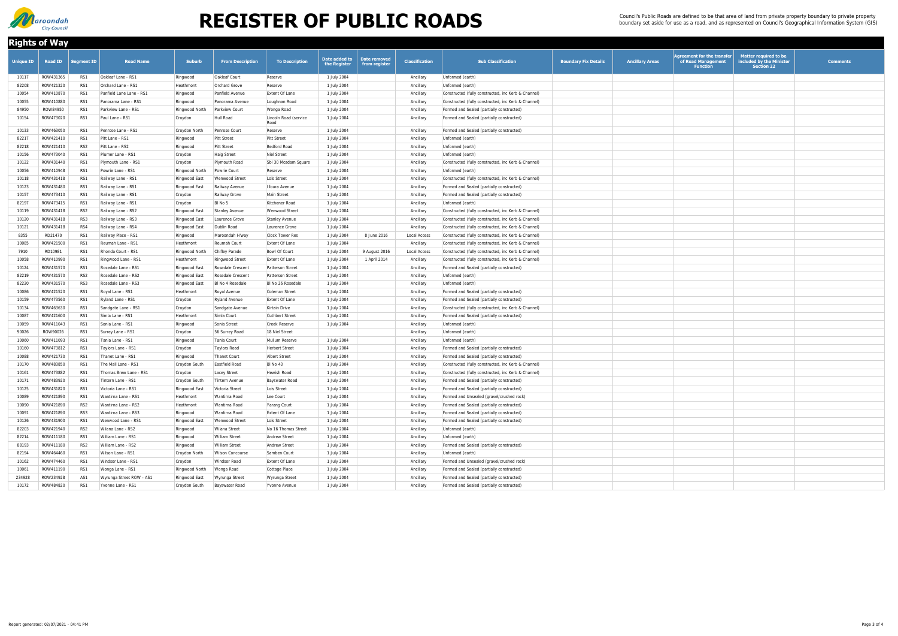| <b>Rights of Way</b> |                |                   |                          |                |                         |                               |                               |                               |                       |                                                     |                             |                        |                                                                            |                                                                               |                 |
|----------------------|----------------|-------------------|--------------------------|----------------|-------------------------|-------------------------------|-------------------------------|-------------------------------|-----------------------|-----------------------------------------------------|-----------------------------|------------------------|----------------------------------------------------------------------------|-------------------------------------------------------------------------------|-----------------|
| <b>Unique ID</b>     | <b>Road ID</b> | <b>Segment ID</b> | <b>Road Name</b>         | <b>Suburb</b>  | <b>From Description</b> | <b>To Description</b>         | Date added to<br>the Register | Date removed<br>from register | <b>Classification</b> | <b>Sub Classification</b>                           | <b>Boundary Fix Details</b> | <b>Ancillary Areas</b> | <b>Agreement for the transfer</b><br>of Road Management<br><b>Function</b> | <b>Matter required to be</b><br>included by the Minister<br><b>Section 22</b> | <b>Comments</b> |
| 10117                | ROW431365      | RS1               | Oakleaf Lane - RS1       | Ringwood       | Oakleaf Court           | Reserve                       | 1 July 2004                   |                               | Ancillary             | Unformed (earth)                                    |                             |                        |                                                                            |                                                                               |                 |
| 82208                | ROW421320      | RS1               | Orchard Lane - RS1       | Heathmont      | Orchard Grove           | Reserve                       | 1 July 2004                   |                               | Ancillary             | Unformed (earth)                                    |                             |                        |                                                                            |                                                                               |                 |
| 10054                | ROW410870      | RS1               | Panfield Lane Lane - RS1 | Ringwood       | Panfield Avenue         | Extent Of Lane                | 1 July 2004                   |                               | Ancillary             | Constructed (fully constructed, inc Kerb & Channel) |                             |                        |                                                                            |                                                                               |                 |
| 10055                | ROW410880      | RS1               | Panorama Lane - RS1      | Ringwood       | Panorama Avenue         | Loughnan Road                 | 1 July 2004                   |                               | Ancillary             | Constructed (fully constructed, inc Kerb & Channel) |                             |                        |                                                                            |                                                                               |                 |
| 84950                | ROW84950       | RS1               | Parkview Lane - RS1      | Ringwood North | Parkview Court          | Wonga Road                    | 1 July 2004                   |                               | Ancillary             | Formed and Sealed (partially constructed)           |                             |                        |                                                                            |                                                                               |                 |
| 10154                | ROW473020      | RS1               | Paul Lane - RS1          | Croydon        | Hull Road               | Lincoln Road (service<br>Road | 1 July 2004                   |                               | Ancillary             | Formed and Sealed (partially constructed)           |                             |                        |                                                                            |                                                                               |                 |
| 10133                | ROW463050      | RS1               | Penrose Lane - RS1       | Croydon North  | Penrose Court           | Reserve                       | 1 July 2004                   |                               | Ancillary             | Formed and Sealed (partially constructed)           |                             |                        |                                                                            |                                                                               |                 |
| 82217                | ROW421410      | RS1               | Pitt Lane - RS1          | Ringwood       | <b>Pitt Street</b>      | Pitt Street                   | 1 July 2004                   |                               | Ancillary             | Unformed (earth)                                    |                             |                        |                                                                            |                                                                               |                 |
| 82218                | ROW421410      | RS2               | Pitt Lane - RS2          | Ringwood       | <b>Pitt Street</b>      | Bedford Road                  | 1 July 2004                   |                               | Ancillary             | Unformed (earth)                                    |                             |                        |                                                                            |                                                                               |                 |
| 10156                | ROW473040      | RS1               | Plumer Lane - RS1        | Croydon        | <b>Haig Street</b>      | Niel Street                   | 1 July 2004                   |                               | Ancillary             | Unformed (earth)                                    |                             |                        |                                                                            |                                                                               |                 |
| 10122                | ROW431440      | RS1               | Plymouth Lane - RS1      | Croydon        | Plymouth Road           | Sbl 30 Mcadam Square          | 1 July 2004                   |                               | Ancillary             | Constructed (fully constructed, inc Kerb & Channel) |                             |                        |                                                                            |                                                                               |                 |
| 10056                | ROW410948      | RS1               | Powrie Lane - RS1        | Ringwood North | Powrie Court            | Reserve                       | 1 July 2004                   |                               | Ancillary             | Unformed (earth)                                    |                             |                        |                                                                            |                                                                               |                 |
| 10118                | ROW431418      | RS1               | Railway Lane - RS1       | Ringwood East  | Wenwood Street          | Lois Street                   | 1 July 2004                   |                               | Ancillary             | Constructed (fully constructed, inc Kerb & Channel) |                             |                        |                                                                            |                                                                               |                 |
| 10123                | ROW431480      | RS1               | Railway Lane - RS1       | Ringwood East  | Railway Avenue          | Illoura Avenue                | 1 July 2004                   |                               | Ancillary             | Formed and Sealed (partially constructed)           |                             |                        |                                                                            |                                                                               |                 |
| 10157                | ROW473410      | RS1               | Railway Lane - RS1       | Croydon        | Railway Grove           | Main Street                   | 1 July 2004                   |                               | Ancillary             | Formed and Sealed (partially constructed)           |                             |                        |                                                                            |                                                                               |                 |
| 82197                | ROW473415      | RS1               | Railway Lane - RS1       | Croydon        | BI No 5                 | Kitchener Road                | 1 July 2004                   |                               | Ancillary             | Unformed (earth)                                    |                             |                        |                                                                            |                                                                               |                 |
| 10119                | ROW431418      | RS <sub>2</sub>   | Railway Lane - RS2       | Ringwood East  | <b>Stanley Avenue</b>   | Wenwood Street                | 1 July 2004                   |                               | Ancillary             | Constructed (fully constructed, inc Kerb & Channel) |                             |                        |                                                                            |                                                                               |                 |
| 10120                | ROW431418      | RS3               | Railway Lane - RS3       | Ringwood East  | Laurence Grove          | Stanley Avenue                | 1 July 2004                   |                               | Ancillary             | Constructed (fully constructed, inc Kerb & Channel) |                             |                        |                                                                            |                                                                               |                 |
| 10121                | ROW431418      | RS4               | Railway Lane - RS4       | Ringwood East  | Dublin Road             | Laurence Grove                | 1 July 2004                   |                               | Ancillary             | Constructed (fully constructed, inc Kerb & Channel) |                             |                        |                                                                            |                                                                               |                 |
| 8355                 | RD21470        | RS1               | Railway Place - RS1      | Ringwood       | Maroondah H'way         | Clock Tower Res               | 1 July 2004                   | 8 June 2016                   | <b>Local Access</b>   | Constructed (fully constructed, inc Kerb & Channel) |                             |                        |                                                                            |                                                                               |                 |
| 10085                | ROW421500      | RS1               | Reumah Lane - RS1        | Heathmont      | Reumah Court            | Extent Of Lane                | 1 July 2004                   |                               | Ancillary             | Constructed (fully constructed, inc Kerb & Channel) |                             |                        |                                                                            |                                                                               |                 |
| 7910                 | RD10981        | RS1               | Rhonda Court - RS1       | Ringwood North | Chifley Parade          | Bowl Of Court                 | 1 July 2004                   | 9 August 2016                 | Local Access          | Constructed (fully constructed, inc Kerb & Channel) |                             |                        |                                                                            |                                                                               |                 |
| 10058                | ROW410990      | RS1               | Ringwood Lane - RS1      | Heathmont      | Ringwood Street         | Extent Of Lane                | 1 July 2004                   | 1 April 2014                  | Ancillary             | Constructed (fully constructed, inc Kerb & Channel) |                             |                        |                                                                            |                                                                               |                 |
| 10124                | ROW431570      | RS1               | Rosedale Lane - RS1      | Ringwood East  | Rosedale Crescent       | Patterson Street              | 1 July 2004                   |                               | Ancillary             | Formed and Sealed (partially constructed)           |                             |                        |                                                                            |                                                                               |                 |
| 82219                | ROW431570      | RS2               | Rosedale Lane - RS2      | Ringwood East  | Rosedale Crescent       | Patterson Street              | 1 July 2004                   |                               | Ancillary             | Unformed (earth)                                    |                             |                        |                                                                            |                                                                               |                 |
| 82220                | ROW431570      | RS3               | Rosedale Lane - RS3      | Ringwood East  | BI No 4 Rosedale        | BI No 26 Rosedale             | 1 July 2004                   |                               | Ancillary             | Unformed (earth)                                    |                             |                        |                                                                            |                                                                               |                 |
| 10086                | ROW421520      | RS1               | Royal Lane - RS1         | Heathmont      | Royal Avenue            | Coleman Street                | 1 July 2004                   |                               | Ancillary             | Formed and Sealed (partially constructed)           |                             |                        |                                                                            |                                                                               |                 |
| 10159                | ROW473560      | RS1               | Ryland Lane - RS1        | Croydon        | <b>Ryland Avenue</b>    | Extent Of Lane                | 1 July 2004                   |                               | Ancillary             | Formed and Sealed (partially constructed)           |                             |                        |                                                                            |                                                                               |                 |
| 10134                | ROW463630      | RS1               | Sandgate Lane - RS1      | Croydon        | Sandgate Avenue         | Kirtain Drive                 | 1 July 2004                   |                               | Ancillary             | Constructed (fully constructed, inc Kerb & Channel) |                             |                        |                                                                            |                                                                               |                 |
| 10087                | ROW421600      | RS1               | Simla Lane - RS1         | Heathmont      | Simla Court             | Cuthbert Street               | 1 July 2004                   |                               | Ancillary             | Formed and Sealed (partially constructed)           |                             |                        |                                                                            |                                                                               |                 |
| 10059                | ROW411043      | RS1               | Sonia Lane - RS1         | Ringwood       | Sonia Street            | Creek Reserve                 | 1 July 2004                   |                               | Ancillary             | Unformed (earth)                                    |                             |                        |                                                                            |                                                                               |                 |
| 90026                | ROW90026       | RS1               | Surrey Lane - RS1        | Croydon        | 56 Surrey Road          | 18 Niel Street                |                               |                               | Ancillary             | Unformed (earth)                                    |                             |                        |                                                                            |                                                                               |                 |
| 10060                | ROW411093      | RS1               | Tania Lane - RS1         | Ringwood       | Tania Court             | Mullum Reserve                | 1 July 2004                   |                               | Ancillary             | Unformed (earth)                                    |                             |                        |                                                                            |                                                                               |                 |
| 10160                | ROW473812      | RS1               | Taylors Lane - RS1       | Croydon        | Taylors Road            | Herbert Street                | 1 July 2004                   |                               | Ancillary             | Formed and Sealed (partially constructed)           |                             |                        |                                                                            |                                                                               |                 |
| 10088                | ROW421730      | RS1               | Thanet Lane - RS1        | Ringwood       | Thanet Court            | Albert Street                 | 1 July 2004                   |                               | Ancillary             | Formed and Sealed (partially constructed)           |                             |                        |                                                                            |                                                                               |                 |
| 10170                | ROW483850      | RS1               | The Mall Lane - RS1      | Croydon South  | Eastfield Road          | BI No 43                      | 1 July 2004                   |                               | Ancillary             | Constructed (fully constructed, inc Kerb & Channel) |                             |                        |                                                                            |                                                                               |                 |
| 10161                | ROW473882      | RS1               | Thomas Brew Lane - RS1   | Croydon        | Lacey Street            | Hewish Road                   | 1 July 2004                   |                               | Ancillary             | Constructed (fully constructed, inc Kerb & Channel) |                             |                        |                                                                            |                                                                               |                 |
| 10171                | ROW483920      | RS1               | Tintern Lane - RS1       | Croydon South  | Tintern Avenue          | Bayswater Road                | 1 July 2004                   |                               | Ancillary             | Formed and Sealed (partially constructed)           |                             |                        |                                                                            |                                                                               |                 |
| 10125                | ROW431820      | RS1               | Victoria Lane - RS1      | Ringwood East  | Victoria Street         | Lois Street                   | 1 July 2004                   |                               | Ancillary             | Formed and Sealed (partially constructed)           |                             |                        |                                                                            |                                                                               |                 |
| 10089                | ROW421890      | RS1               | Wantirna Lane - RS1      | Heathmont      | Wantirna Road           | Lee Court                     | 1 July 2004                   |                               | Ancillary             | Formed and Unsealed (gravel/crushed rock)           |                             |                        |                                                                            |                                                                               |                 |
| 10090                | ROW421890      | RS2               | Wantirna Lane - RS2      | Heathmont      | Wantirna Road           | Yarang Court                  | 1 July 2004                   |                               | Ancillary             | Formed and Sealed (partially constructed)           |                             |                        |                                                                            |                                                                               |                 |
| 10091                | ROW421890      | RS3               | Wantirna Lane - RS3      | Ringwood       | Wantirna Road           | Extent Of Lane                | 1 July 2004                   |                               | Ancillary             | Formed and Sealed (partially constructed)           |                             |                        |                                                                            |                                                                               |                 |
| 10126                | ROW431900      | RS1               | Wenwood Lane - RS1       | Ringwood East  | Wenwood Street          | Lois Street                   | 1 July 2004                   |                               | Ancillary             | Formed and Sealed (partially constructed)           |                             |                        |                                                                            |                                                                               |                 |
| 82203                | ROW421940      | RS <sub>2</sub>   | Wilana Lane - RS2        | Ringwood       | Wilana Street           | No 16 Thomas Street           | 1 July 2004                   |                               | Ancillary             | Unformed (earth)                                    |                             |                        |                                                                            |                                                                               |                 |
| 82214                | ROW411180      | RS1               | William Lane - RS1       | Ringwood       | <b>William Street</b>   | Andrew Street                 | 1 July 2004                   |                               | Ancillary             | Unformed (earth)                                    |                             |                        |                                                                            |                                                                               |                 |
| 88193                | ROW411180      | RS <sub>2</sub>   | William Lane - RS2       | Ringwood       | <b>William Street</b>   | Andrew Street                 | 1 July 2004                   |                               | Ancillary             | Formed and Sealed (partially constructed)           |                             |                        |                                                                            |                                                                               |                 |
| 82194                | ROW464460      | RS1               | Wilson Lane - RS1        | Croydon North  | Wilson Concourse        | Samben Court                  | 1 July 2004                   |                               | Ancillary             | Unformed (earth)                                    |                             |                        |                                                                            |                                                                               |                 |
| 10162                | ROW474460      | RS1               | Windsor Lane - RS1       | Croydon        | Windsor Road            | Extent Of Lane                | 1 July 2004                   |                               | Ancillary             | Formed and Unsealed (gravel/crushed rock)           |                             |                        |                                                                            |                                                                               |                 |
| 10061                | ROW411190      | RS1               | Wonga Lane - RS1         | Ringwood North | Wonga Road              | Cottage Place                 | 1 July 2004                   |                               | Ancillary             | Formed and Sealed (partially constructed)           |                             |                        |                                                                            |                                                                               |                 |
|                      | ROW234928      | AS1               | Wyrunga Street ROW - AS1 | Ringwood East  |                         |                               | 1 July 2004                   |                               |                       | Formed and Sealed (partially constructed)           |                             |                        |                                                                            |                                                                               |                 |
| 234928               |                |                   |                          |                | Wyrunga Street          | Wyrunga Street                |                               |                               | Ancillary             |                                                     |                             |                        |                                                                            |                                                                               |                 |
| 10172                | ROW484820      | RS1               | Yvonne Lane - RS1        | Croydon South  | <b>Bayswater Road</b>   | Yvonne Avenue                 | 1 July 2004                   |                               | Ancillary             | Formed and Sealed (partially constructed)           |                             |                        |                                                                            |                                                                               |                 |



## **REGISTER OF PUBLIC ROADS**